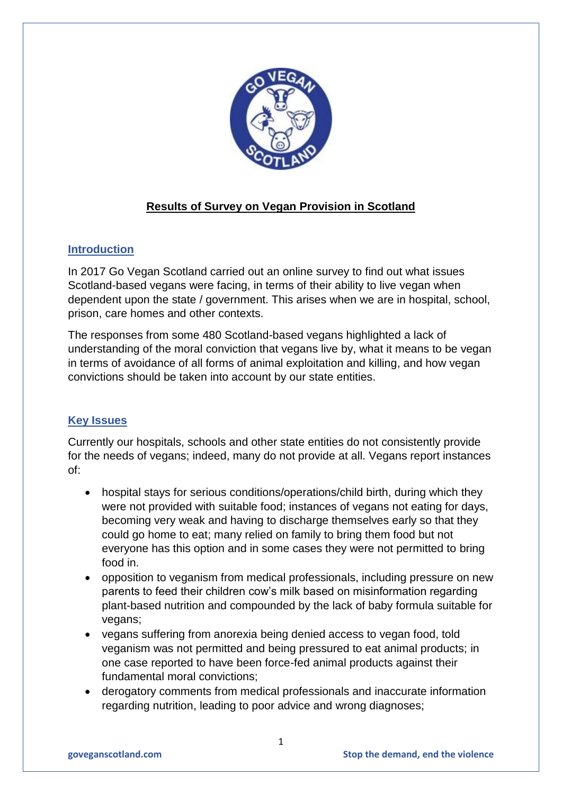

# **Results of Survey on Vegan Provision in Scotland**

# **Introduction**

In 2017 Go Vegan Scotland carried out an online survey to find out what issues Scotland-based vegans were facing, in terms of their ability to live vegan when dependent upon the state / government. This arises when we are in hospital, school, prison, care homes and other contexts.

The responses from some 480 Scotland-based vegans highlighted a lack of understanding of the moral conviction that vegans live by, what it means to be vegan in terms of avoidance of all forms of animal exploitation and killing, and how vegan convictions should be taken into account by our state entities.

# **Key Issues**

Currently our hospitals, schools and other state entities do not consistently provide for the needs of vegans; indeed, many do not provide at all. Vegans report instances of:

- hospital stays for serious conditions/operations/child birth, during which they were not provided with suitable food; instances of vegans not eating for days, becoming very weak and having to discharge themselves early so that they could go home to eat; many relied on family to bring them food but not everyone has this option and in some cases they were not permitted to bring food in.
- opposition to veganism from medical professionals, including pressure on new parents to feed their children cow's milk based on misinformation regarding plant-based nutrition and compounded by the lack of baby formula suitable for vegans;
- vegans suffering from anorexia being denied access to vegan food, told veganism was not permitted and being pressured to eat animal products; in one case reported to have been force-fed animal products against their fundamental moral convictions;
- derogatory comments from medical professionals and inaccurate information regarding nutrition, leading to poor advice and wrong diagnoses;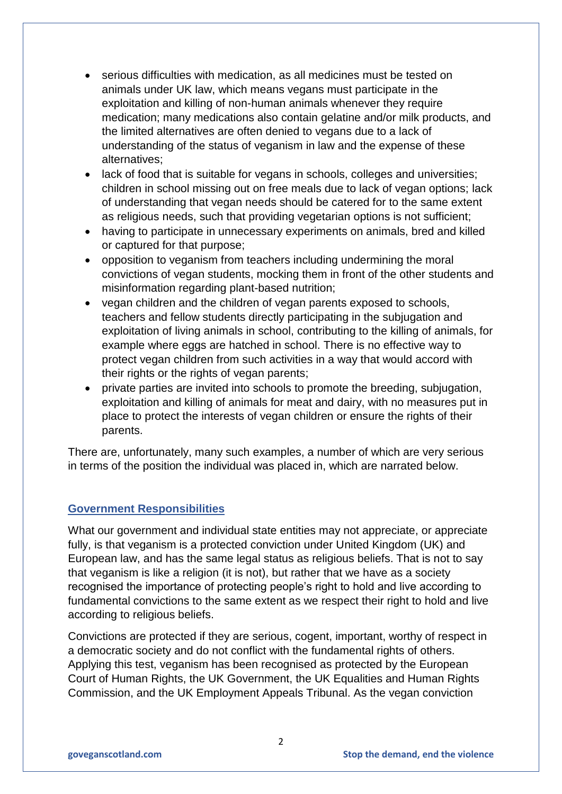- serious difficulties with medication, as all medicines must be tested on animals under UK law, which means vegans must participate in the exploitation and killing of non-human animals whenever they require medication; many medications also contain gelatine and/or milk products, and the limited alternatives are often denied to vegans due to a lack of understanding of the status of veganism in law and the expense of these alternatives;
- lack of food that is suitable for vegans in schools, colleges and universities; children in school missing out on free meals due to lack of vegan options; lack of understanding that vegan needs should be catered for to the same extent as religious needs, such that providing vegetarian options is not sufficient;
- having to participate in unnecessary experiments on animals, bred and killed or captured for that purpose;
- opposition to veganism from teachers including undermining the moral convictions of vegan students, mocking them in front of the other students and misinformation regarding plant-based nutrition;
- vegan children and the children of vegan parents exposed to schools, teachers and fellow students directly participating in the subjugation and exploitation of living animals in school, contributing to the killing of animals, for example where eggs are hatched in school. There is no effective way to protect vegan children from such activities in a way that would accord with their rights or the rights of vegan parents;
- private parties are invited into schools to promote the breeding, subjugation, exploitation and killing of animals for meat and dairy, with no measures put in place to protect the interests of vegan children or ensure the rights of their parents.

There are, unfortunately, many such examples, a number of which are very serious in terms of the position the individual was placed in, which are narrated below.

## **Government Responsibilities**

What our government and individual state entities may not appreciate, or appreciate fully, is that veganism is a protected conviction under United Kingdom (UK) and European law, and has the same legal status as religious beliefs. That is not to say that veganism is like a religion (it is not), but rather that we have as a society recognised the importance of protecting people's right to hold and live according to fundamental convictions to the same extent as we respect their right to hold and live according to religious beliefs.

Convictions are protected if they are serious, cogent, important, worthy of respect in a democratic society and do not conflict with the fundamental rights of others. Applying this test, veganism has been recognised as protected by the European Court of Human Rights, the UK Government, the UK Equalities and Human Rights Commission, and the UK Employment Appeals Tribunal. As the vegan conviction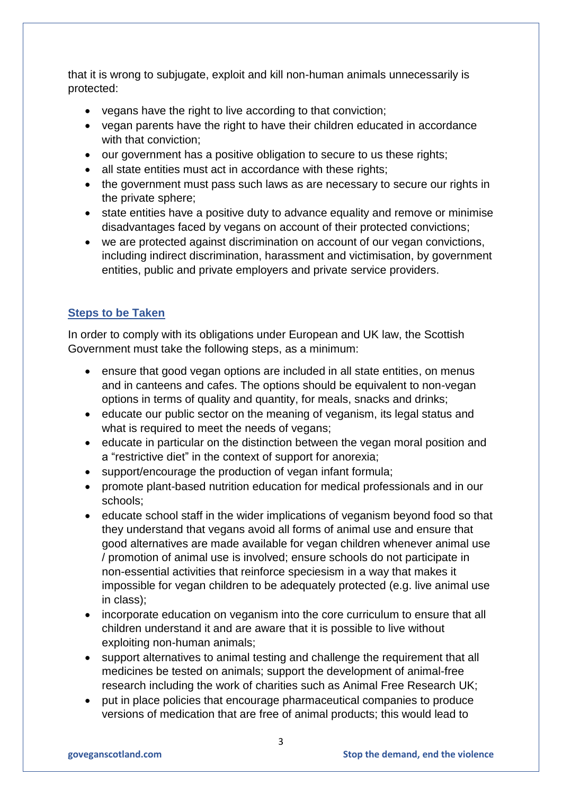that it is wrong to subjugate, exploit and kill non-human animals unnecessarily is protected:

- vegans have the right to live according to that conviction;
- vegan parents have the right to have their children educated in accordance with that conviction;
- our government has a positive obligation to secure to us these rights;
- all state entities must act in accordance with these rights;
- the government must pass such laws as are necessary to secure our rights in the private sphere;
- state entities have a positive duty to advance equality and remove or minimise disadvantages faced by vegans on account of their protected convictions;
- we are protected against discrimination on account of our vegan convictions, including indirect discrimination, harassment and victimisation, by government entities, public and private employers and private service providers.

# **Steps to be Taken**

In order to comply with its obligations under European and UK law, the Scottish Government must take the following steps, as a minimum:

- ensure that good vegan options are included in all state entities, on menus and in canteens and cafes. The options should be equivalent to non-vegan options in terms of quality and quantity, for meals, snacks and drinks;
- educate our public sector on the meaning of veganism, its legal status and what is required to meet the needs of vegans;
- educate in particular on the distinction between the vegan moral position and a "restrictive diet" in the context of support for anorexia;
- support/encourage the production of vegan infant formula;
- promote plant-based nutrition education for medical professionals and in our schools;
- educate school staff in the wider implications of veganism beyond food so that they understand that vegans avoid all forms of animal use and ensure that good alternatives are made available for vegan children whenever animal use / promotion of animal use is involved; ensure schools do not participate in non-essential activities that reinforce speciesism in a way that makes it impossible for vegan children to be adequately protected (e.g. live animal use in class);
- incorporate education on veganism into the core curriculum to ensure that all children understand it and are aware that it is possible to live without exploiting non-human animals;
- support alternatives to animal testing and challenge the requirement that all medicines be tested on animals; support the development of animal-free research including the work of charities such as Animal Free Research UK;
- put in place policies that encourage pharmaceutical companies to produce versions of medication that are free of animal products; this would lead to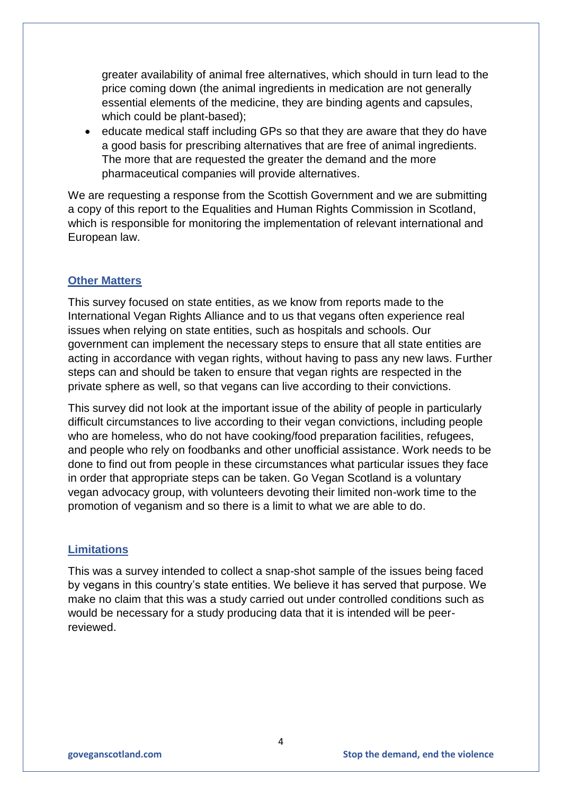greater availability of animal free alternatives, which should in turn lead to the price coming down (the animal ingredients in medication are not generally essential elements of the medicine, they are binding agents and capsules, which could be plant-based);

 educate medical staff including GPs so that they are aware that they do have a good basis for prescribing alternatives that are free of animal ingredients. The more that are requested the greater the demand and the more pharmaceutical companies will provide alternatives.

We are requesting a response from the Scottish Government and we are submitting a copy of this report to the Equalities and Human Rights Commission in Scotland, which is responsible for monitoring the implementation of relevant international and European law.

### **Other Matters**

This survey focused on state entities, as we know from reports made to the International Vegan Rights Alliance and to us that vegans often experience real issues when relying on state entities, such as hospitals and schools. Our government can implement the necessary steps to ensure that all state entities are acting in accordance with vegan rights, without having to pass any new laws. Further steps can and should be taken to ensure that vegan rights are respected in the private sphere as well, so that vegans can live according to their convictions.

This survey did not look at the important issue of the ability of people in particularly difficult circumstances to live according to their vegan convictions, including people who are homeless, who do not have cooking/food preparation facilities, refugees, and people who rely on foodbanks and other unofficial assistance. Work needs to be done to find out from people in these circumstances what particular issues they face in order that appropriate steps can be taken. Go Vegan Scotland is a voluntary vegan advocacy group, with volunteers devoting their limited non-work time to the promotion of veganism and so there is a limit to what we are able to do.

#### **Limitations**

This was a survey intended to collect a snap-shot sample of the issues being faced by vegans in this country's state entities. We believe it has served that purpose. We make no claim that this was a study carried out under controlled conditions such as would be necessary for a study producing data that it is intended will be peerreviewed.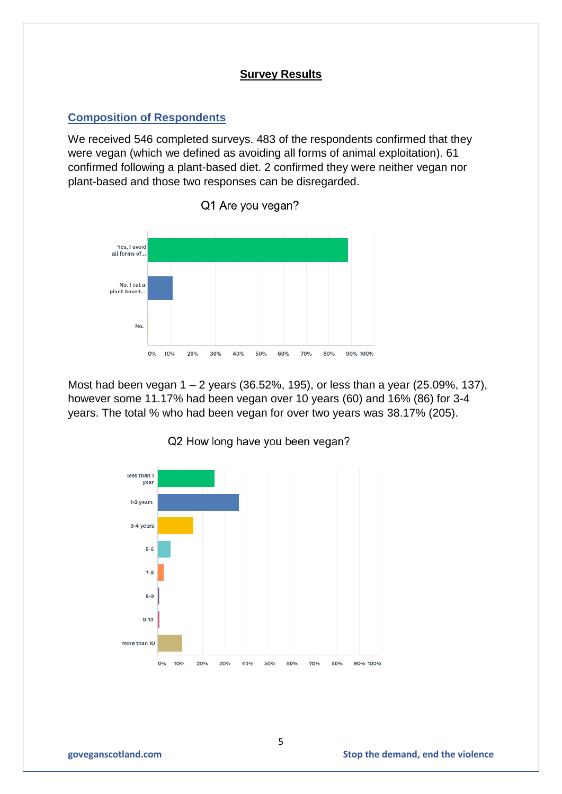### **Survey Results**

### **Composition of Respondents**

We received 546 completed surveys. 483 of the respondents confirmed that they were vegan (which we defined as avoiding all forms of animal exploitation). 61 confirmed following a plant-based diet. 2 confirmed they were neither vegan nor plant-based and those two responses can be disregarded.



Q1 Are you vegan?

Most had been vegan 1 – 2 years (36.52%, 195), or less than a year (25.09%, 137), however some 11.17% had been vegan over 10 years (60) and 16% (86) for 3-4 years. The total % who had been vegan for over two years was 38.17% (205).



#### Q2 How long have you been vegan?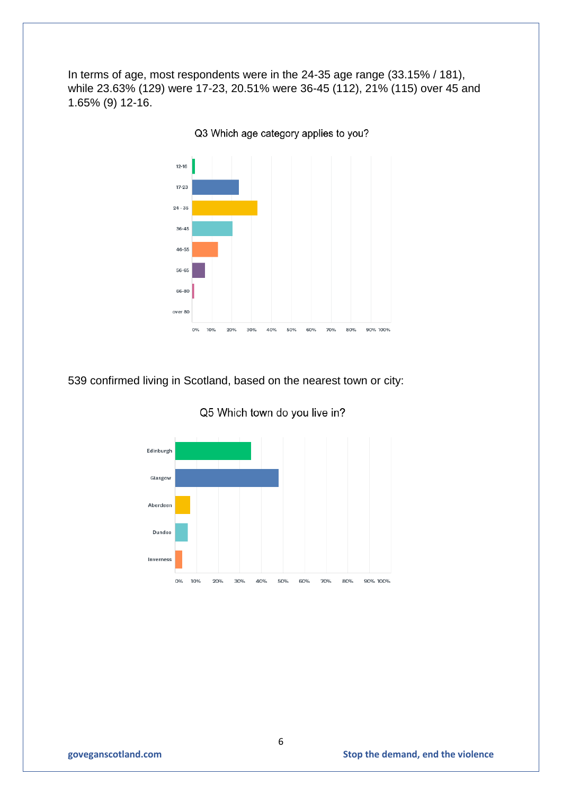In terms of age, most respondents were in the 24-35 age range (33.15% / 181), while 23.63% (129) were 17-23, 20.51% were 36-45 (112), 21% (115) over 45 and 1.65% (9) 12-16.



Q3 Which age category applies to you?

539 confirmed living in Scotland, based on the nearest town or city:



Q5 Which town do you live in?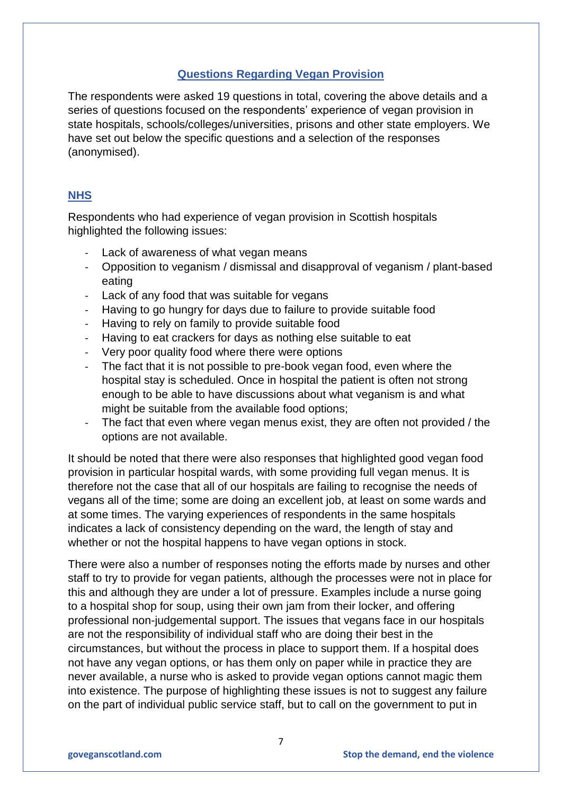# **Questions Regarding Vegan Provision**

The respondents were asked 19 questions in total, covering the above details and a series of questions focused on the respondents' experience of vegan provision in state hospitals, schools/colleges/universities, prisons and other state employers. We have set out below the specific questions and a selection of the responses (anonymised).

## **NHS**

Respondents who had experience of vegan provision in Scottish hospitals highlighted the following issues:

- Lack of awareness of what vegan means
- Opposition to veganism / dismissal and disapproval of veganism / plant-based eating
- Lack of any food that was suitable for vegans
- Having to go hungry for days due to failure to provide suitable food
- Having to rely on family to provide suitable food
- Having to eat crackers for days as nothing else suitable to eat
- Very poor quality food where there were options
- The fact that it is not possible to pre-book vegan food, even where the hospital stay is scheduled. Once in hospital the patient is often not strong enough to be able to have discussions about what veganism is and what might be suitable from the available food options;
- The fact that even where vegan menus exist, they are often not provided / the options are not available.

It should be noted that there were also responses that highlighted good vegan food provision in particular hospital wards, with some providing full vegan menus. It is therefore not the case that all of our hospitals are failing to recognise the needs of vegans all of the time; some are doing an excellent job, at least on some wards and at some times. The varying experiences of respondents in the same hospitals indicates a lack of consistency depending on the ward, the length of stay and whether or not the hospital happens to have vegan options in stock.

There were also a number of responses noting the efforts made by nurses and other staff to try to provide for vegan patients, although the processes were not in place for this and although they are under a lot of pressure. Examples include a nurse going to a hospital shop for soup, using their own jam from their locker, and offering professional non-judgemental support. The issues that vegans face in our hospitals are not the responsibility of individual staff who are doing their best in the circumstances, but without the process in place to support them. If a hospital does not have any vegan options, or has them only on paper while in practice they are never available, a nurse who is asked to provide vegan options cannot magic them into existence. The purpose of highlighting these issues is not to suggest any failure on the part of individual public service staff, but to call on the government to put in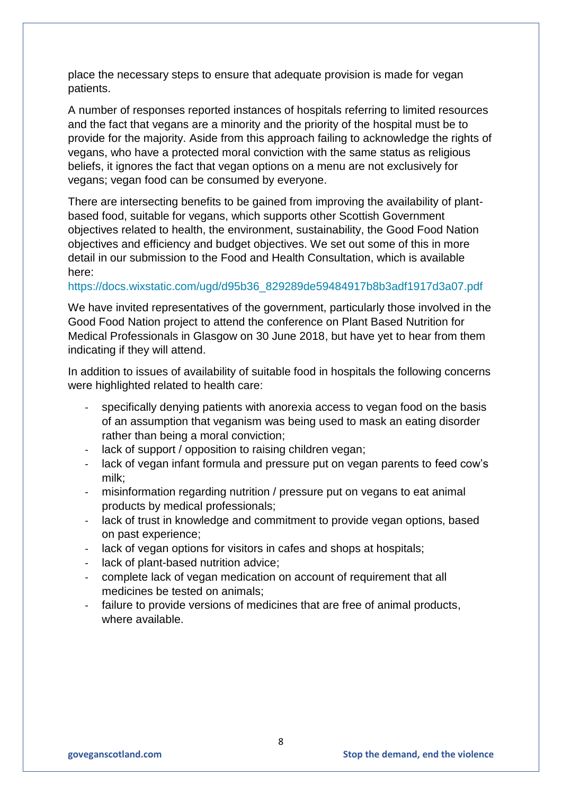place the necessary steps to ensure that adequate provision is made for vegan patients.

A number of responses reported instances of hospitals referring to limited resources and the fact that vegans are a minority and the priority of the hospital must be to provide for the majority. Aside from this approach failing to acknowledge the rights of vegans, who have a protected moral conviction with the same status as religious beliefs, it ignores the fact that vegan options on a menu are not exclusively for vegans; vegan food can be consumed by everyone.

There are intersecting benefits to be gained from improving the availability of plantbased food, suitable for vegans, which supports other Scottish Government objectives related to health, the environment, sustainability, the Good Food Nation objectives and efficiency and budget objectives. We set out some of this in more detail in our submission to the Food and Health Consultation, which is available here:

#### [https://docs.wixstatic.com/ugd/d95b36\\_829289de59484917b8b3adf1917d3a07.pdf](https://docs.wixstatic.com/ugd/d95b36_829289de59484917b8b3adf1917d3a07.pdf)

We have invited representatives of the government, particularly those involved in the Good Food Nation project to attend the conference on Plant Based Nutrition for Medical Professionals in Glasgow on 30 June 2018, but have yet to hear from them indicating if they will attend.

In addition to issues of availability of suitable food in hospitals the following concerns were highlighted related to health care:

- specifically denying patients with anorexia access to vegan food on the basis of an assumption that veganism was being used to mask an eating disorder rather than being a moral conviction;
- lack of support / opposition to raising children vegan;
- lack of vegan infant formula and pressure put on vegan parents to feed cow's milk;
- misinformation regarding nutrition / pressure put on vegans to eat animal products by medical professionals;
- lack of trust in knowledge and commitment to provide vegan options, based on past experience;
- lack of vegan options for visitors in cafes and shops at hospitals;
- lack of plant-based nutrition advice:
- complete lack of vegan medication on account of requirement that all medicines be tested on animals;
- failure to provide versions of medicines that are free of animal products, where available.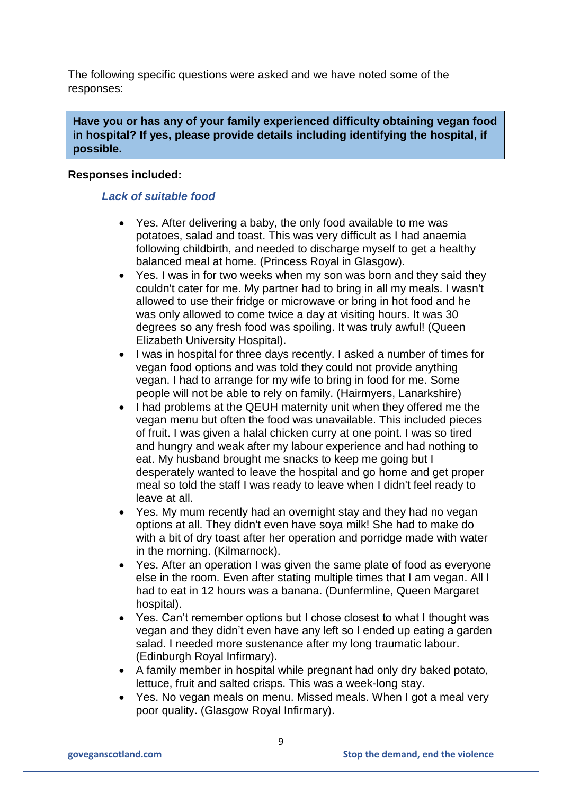The following specific questions were asked and we have noted some of the responses:

**Have you or has any of your family experienced difficulty obtaining vegan food in hospital? If yes, please provide details including identifying the hospital, if possible.**

### **Responses included:**

### *Lack of suitable food*

- Yes. After delivering a baby, the only food available to me was potatoes, salad and toast. This was very difficult as I had anaemia following childbirth, and needed to discharge myself to get a healthy balanced meal at home. (Princess Royal in Glasgow).
- Yes. I was in for two weeks when my son was born and they said they couldn't cater for me. My partner had to bring in all my meals. I wasn't allowed to use their fridge or microwave or bring in hot food and he was only allowed to come twice a day at visiting hours. It was 30 degrees so any fresh food was spoiling. It was truly awful! (Queen Elizabeth University Hospital).
- I was in hospital for three days recently. I asked a number of times for vegan food options and was told they could not provide anything vegan. I had to arrange for my wife to bring in food for me. Some people will not be able to rely on family. (Hairmyers, Lanarkshire)
- I had problems at the QEUH maternity unit when they offered me the vegan menu but often the food was unavailable. This included pieces of fruit. I was given a halal chicken curry at one point. I was so tired and hungry and weak after my labour experience and had nothing to eat. My husband brought me snacks to keep me going but I desperately wanted to leave the hospital and go home and get proper meal so told the staff I was ready to leave when I didn't feel ready to leave at all.
- Yes. My mum recently had an overnight stay and they had no vegan options at all. They didn't even have soya milk! She had to make do with a bit of dry toast after her operation and porridge made with water in the morning. (Kilmarnock).
- Yes. After an operation I was given the same plate of food as everyone else in the room. Even after stating multiple times that I am vegan. All I had to eat in 12 hours was a banana. (Dunfermline, Queen Margaret hospital).
- Yes. Can't remember options but I chose closest to what I thought was vegan and they didn't even have any left so I ended up eating a garden salad. I needed more sustenance after my long traumatic labour. (Edinburgh Royal Infirmary).
- A family member in hospital while pregnant had only dry baked potato, lettuce, fruit and salted crisps. This was a week-long stay.
- Yes. No vegan meals on menu. Missed meals. When I got a meal very poor quality. (Glasgow Royal Infirmary).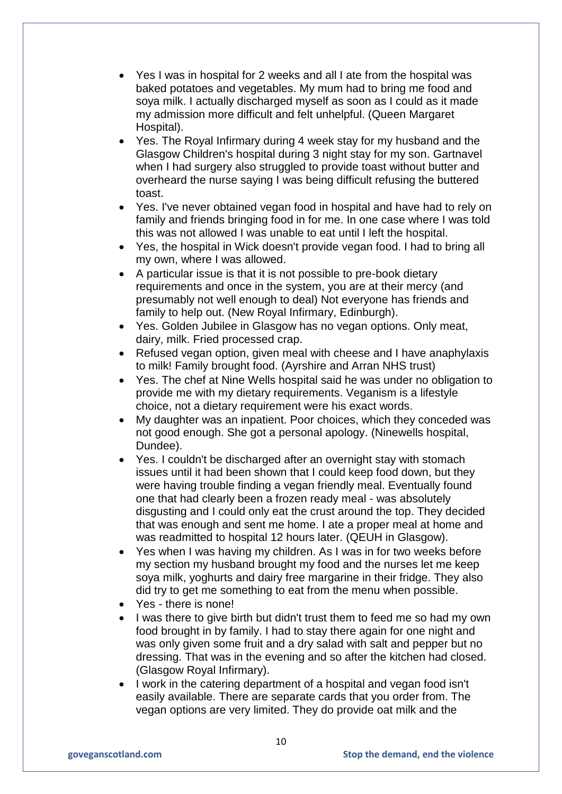- Yes I was in hospital for 2 weeks and all I ate from the hospital was baked potatoes and vegetables. My mum had to bring me food and soya milk. I actually discharged myself as soon as I could as it made my admission more difficult and felt unhelpful. (Queen Margaret Hospital).
- Yes. The Royal Infirmary during 4 week stay for my husband and the Glasgow Children's hospital during 3 night stay for my son. Gartnavel when I had surgery also struggled to provide toast without butter and overheard the nurse saying I was being difficult refusing the buttered toast.
- Yes. I've never obtained vegan food in hospital and have had to rely on family and friends bringing food in for me. In one case where I was told this was not allowed I was unable to eat until I left the hospital.
- Yes, the hospital in Wick doesn't provide vegan food. I had to bring all my own, where I was allowed.
- A particular issue is that it is not possible to pre-book dietary requirements and once in the system, you are at their mercy (and presumably not well enough to deal) Not everyone has friends and family to help out. (New Royal Infirmary, Edinburgh).
- Yes. Golden Jubilee in Glasgow has no vegan options. Only meat, dairy, milk. Fried processed crap.
- Refused vegan option, given meal with cheese and I have anaphylaxis to milk! Family brought food. (Ayrshire and Arran NHS trust)
- Yes. The chef at Nine Wells hospital said he was under no obligation to provide me with my dietary requirements. Veganism is a lifestyle choice, not a dietary requirement were his exact words.
- My daughter was an inpatient. Poor choices, which they conceded was not good enough. She got a personal apology. (Ninewells hospital, Dundee).
- Yes. I couldn't be discharged after an overnight stay with stomach issues until it had been shown that I could keep food down, but they were having trouble finding a vegan friendly meal. Eventually found one that had clearly been a frozen ready meal - was absolutely disgusting and I could only eat the crust around the top. They decided that was enough and sent me home. I ate a proper meal at home and was readmitted to hospital 12 hours later. (QEUH in Glasgow).
- Yes when I was having my children. As I was in for two weeks before my section my husband brought my food and the nurses let me keep soya milk, yoghurts and dairy free margarine in their fridge. They also did try to get me something to eat from the menu when possible.
- Yes there is none!
- I was there to give birth but didn't trust them to feed me so had my own food brought in by family. I had to stay there again for one night and was only given some fruit and a dry salad with salt and pepper but no dressing. That was in the evening and so after the kitchen had closed. (Glasgow Royal Infirmary).
- I work in the catering department of a hospital and vegan food isn't easily available. There are separate cards that you order from. The vegan options are very limited. They do provide oat milk and the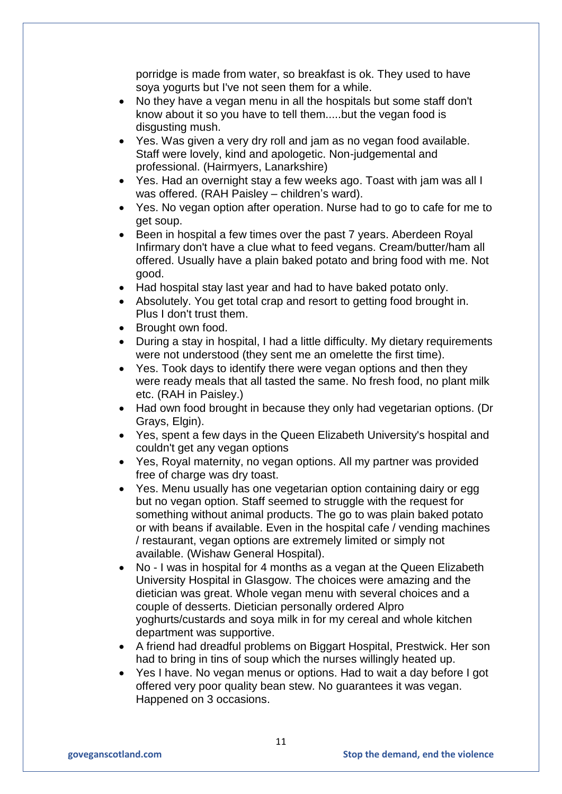porridge is made from water, so breakfast is ok. They used to have soya yogurts but I've not seen them for a while.

- No they have a vegan menu in all the hospitals but some staff don't know about it so you have to tell them.....but the vegan food is disgusting mush.
- Yes. Was given a very dry roll and jam as no vegan food available. Staff were lovely, kind and apologetic. Non-judgemental and professional. (Hairmyers, Lanarkshire)
- Yes. Had an overnight stay a few weeks ago. Toast with jam was all I was offered. (RAH Paisley – children's ward).
- Yes. No vegan option after operation. Nurse had to go to cafe for me to get soup.
- Been in hospital a few times over the past 7 years. Aberdeen Royal Infirmary don't have a clue what to feed vegans. Cream/butter/ham all offered. Usually have a plain baked potato and bring food with me. Not good.
- Had hospital stay last year and had to have baked potato only.
- Absolutely. You get total crap and resort to getting food brought in. Plus I don't trust them.
- Brought own food.
- During a stay in hospital, I had a little difficulty. My dietary requirements were not understood (they sent me an omelette the first time).
- Yes. Took days to identify there were vegan options and then they were ready meals that all tasted the same. No fresh food, no plant milk etc. (RAH in Paisley.)
- Had own food brought in because they only had vegetarian options. (Dr Grays, Elgin).
- Yes, spent a few days in the Queen Elizabeth University's hospital and couldn't get any vegan options
- Yes, Royal maternity, no vegan options. All my partner was provided free of charge was dry toast.
- Yes. Menu usually has one vegetarian option containing dairy or egg but no vegan option. Staff seemed to struggle with the request for something without animal products. The go to was plain baked potato or with beans if available. Even in the hospital cafe / vending machines / restaurant, vegan options are extremely limited or simply not available. (Wishaw General Hospital).
- No I was in hospital for 4 months as a vegan at the Queen Elizabeth University Hospital in Glasgow. The choices were amazing and the dietician was great. Whole vegan menu with several choices and a couple of desserts. Dietician personally ordered Alpro yoghurts/custards and soya milk in for my cereal and whole kitchen department was supportive.
- A friend had dreadful problems on Biggart Hospital, Prestwick. Her son had to bring in tins of soup which the nurses willingly heated up.
- Yes I have. No vegan menus or options. Had to wait a day before I got offered very poor quality bean stew. No guarantees it was vegan. Happened on 3 occasions.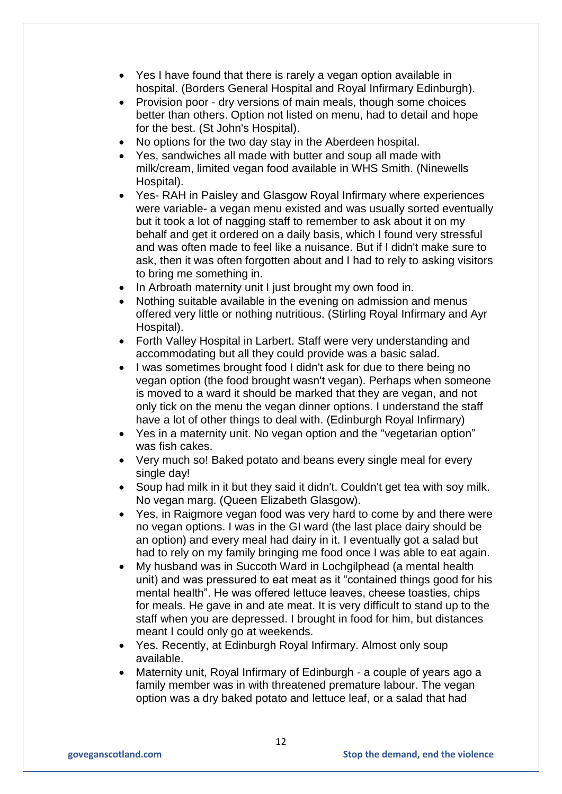- Yes I have found that there is rarely a vegan option available in hospital. (Borders General Hospital and Royal Infirmary Edinburgh).
- Provision poor dry versions of main meals, though some choices better than others. Option not listed on menu, had to detail and hope for the best. (St John's Hospital).
- No options for the two day stay in the Aberdeen hospital.
- Yes, sandwiches all made with butter and soup all made with milk/cream, limited vegan food available in WHS Smith. (Ninewells Hospital).
- Yes- RAH in Paisley and Glasgow Royal Infirmary where experiences were variable- a vegan menu existed and was usually sorted eventually but it took a lot of nagging staff to remember to ask about it on my behalf and get it ordered on a daily basis, which I found very stressful and was often made to feel like a nuisance. But if I didn't make sure to ask, then it was often forgotten about and I had to rely to asking visitors to bring me something in.
- In Arbroath maternity unit I just brought my own food in.
- Nothing suitable available in the evening on admission and menus offered very little or nothing nutritious. (Stirling Royal Infirmary and Ayr Hospital).
- Forth Valley Hospital in Larbert. Staff were very understanding and accommodating but all they could provide was a basic salad.
- I was sometimes brought food I didn't ask for due to there being no vegan option (the food brought wasn't vegan). Perhaps when someone is moved to a ward it should be marked that they are vegan, and not only tick on the menu the vegan dinner options. I understand the staff have a lot of other things to deal with. (Edinburgh Royal Infirmary)
- Yes in a maternity unit. No vegan option and the "vegetarian option" was fish cakes.
- Very much so! Baked potato and beans every single meal for every single day!
- Soup had milk in it but they said it didn't. Couldn't get tea with soy milk. No vegan marg. (Queen Elizabeth Glasgow).
- Yes, in Raigmore vegan food was very hard to come by and there were no vegan options. I was in the GI ward (the last place dairy should be an option) and every meal had dairy in it. I eventually got a salad but had to rely on my family bringing me food once I was able to eat again.
- My husband was in Succoth Ward in Lochgilphead (a mental health unit) and was pressured to eat meat as it "contained things good for his mental health". He was offered lettuce leaves, cheese toasties, chips for meals. He gave in and ate meat. It is very difficult to stand up to the staff when you are depressed. I brought in food for him, but distances meant I could only go at weekends.
- Yes. Recently, at Edinburgh Royal Infirmary. Almost only soup available.
- Maternity unit, Royal Infirmary of Edinburgh a couple of years ago a family member was in with threatened premature labour. The vegan option was a dry baked potato and lettuce leaf, or a salad that had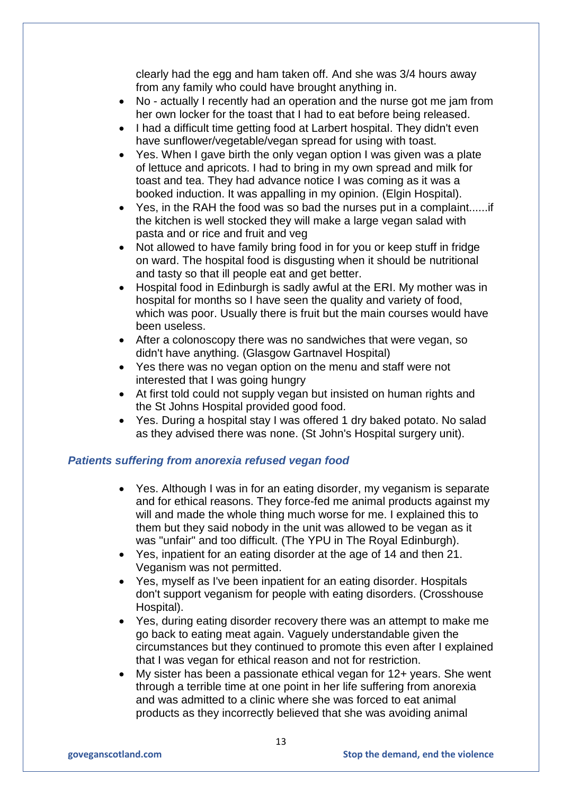clearly had the egg and ham taken off. And she was 3/4 hours away from any family who could have brought anything in.

- No actually I recently had an operation and the nurse got me jam from her own locker for the toast that I had to eat before being released.
- I had a difficult time getting food at Larbert hospital. They didn't even have sunflower/vegetable/vegan spread for using with toast.
- Yes. When I gave birth the only vegan option I was given was a plate of lettuce and apricots. I had to bring in my own spread and milk for toast and tea. They had advance notice I was coming as it was a booked induction. It was appalling in my opinion. (Elgin Hospital).
- Yes, in the RAH the food was so bad the nurses put in a complaint......if the kitchen is well stocked they will make a large vegan salad with pasta and or rice and fruit and veg
- Not allowed to have family bring food in for you or keep stuff in fridge on ward. The hospital food is disgusting when it should be nutritional and tasty so that ill people eat and get better.
- Hospital food in Edinburgh is sadly awful at the ERI. My mother was in hospital for months so I have seen the quality and variety of food, which was poor. Usually there is fruit but the main courses would have been useless.
- After a colonoscopy there was no sandwiches that were vegan, so didn't have anything. (Glasgow Gartnavel Hospital)
- Yes there was no vegan option on the menu and staff were not interested that I was going hungry
- At first told could not supply vegan but insisted on human rights and the St Johns Hospital provided good food.
- Yes. During a hospital stay I was offered 1 dry baked potato. No salad as they advised there was none. (St John's Hospital surgery unit).

### *Patients suffering from anorexia refused vegan food*

- Yes. Although I was in for an eating disorder, my veganism is separate and for ethical reasons. They force-fed me animal products against my will and made the whole thing much worse for me. I explained this to them but they said nobody in the unit was allowed to be vegan as it was "unfair" and too difficult. (The YPU in The Royal Edinburgh).
- Yes, inpatient for an eating disorder at the age of 14 and then 21. Veganism was not permitted.
- Yes, myself as I've been inpatient for an eating disorder. Hospitals don't support veganism for people with eating disorders. (Crosshouse Hospital).
- Yes, during eating disorder recovery there was an attempt to make me go back to eating meat again. Vaguely understandable given the circumstances but they continued to promote this even after I explained that I was vegan for ethical reason and not for restriction.
- My sister has been a passionate ethical vegan for 12+ years. She went through a terrible time at one point in her life suffering from anorexia and was admitted to a clinic where she was forced to eat animal products as they incorrectly believed that she was avoiding animal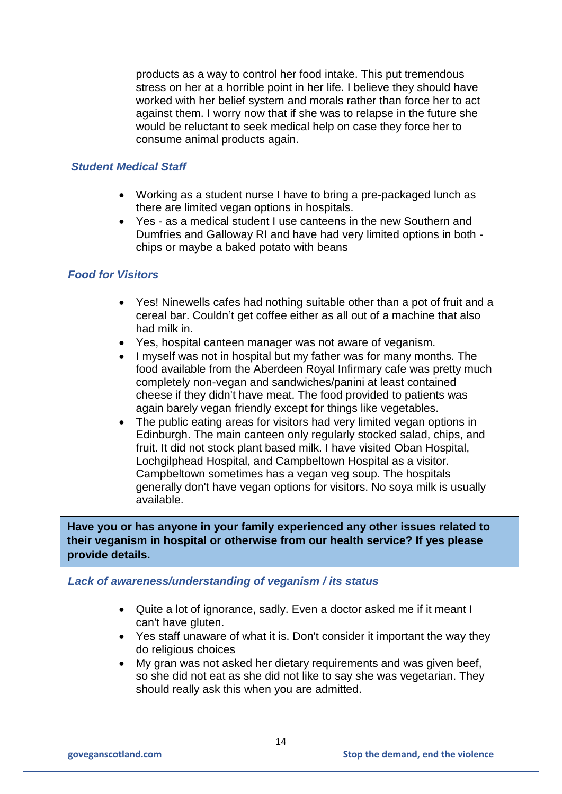products as a way to control her food intake. This put tremendous stress on her at a horrible point in her life. I believe they should have worked with her belief system and morals rather than force her to act against them. I worry now that if she was to relapse in the future she would be reluctant to seek medical help on case they force her to consume animal products again.

# *Student Medical Staff*

- Working as a student nurse I have to bring a pre-packaged lunch as there are limited vegan options in hospitals.
- Yes as a medical student I use canteens in the new Southern and Dumfries and Galloway RI and have had very limited options in both chips or maybe a baked potato with beans

### *Food for Visitors*

- Yes! Ninewells cafes had nothing suitable other than a pot of fruit and a cereal bar. Couldn't get coffee either as all out of a machine that also had milk in.
- Yes, hospital canteen manager was not aware of veganism.
- I myself was not in hospital but my father was for many months. The food available from the Aberdeen Royal Infirmary cafe was pretty much completely non-vegan and sandwiches/panini at least contained cheese if they didn't have meat. The food provided to patients was again barely vegan friendly except for things like vegetables.
- The public eating areas for visitors had very limited vegan options in Edinburgh. The main canteen only regularly stocked salad, chips, and fruit. It did not stock plant based milk. I have visited Oban Hospital, Lochgilphead Hospital, and Campbeltown Hospital as a visitor. Campbeltown sometimes has a vegan veg soup. The hospitals generally don't have vegan options for visitors. No soya milk is usually available.

**Have you or has anyone in your family experienced any other issues related to their veganism in hospital or otherwise from our health service? If yes please provide details.**

#### *Lack of awareness/understanding of veganism / its status*

- Quite a lot of ignorance, sadly. Even a doctor asked me if it meant I can't have gluten.
- Yes staff unaware of what it is. Don't consider it important the way they do religious choices
- My gran was not asked her dietary requirements and was given beef, so she did not eat as she did not like to say she was vegetarian. They should really ask this when you are admitted.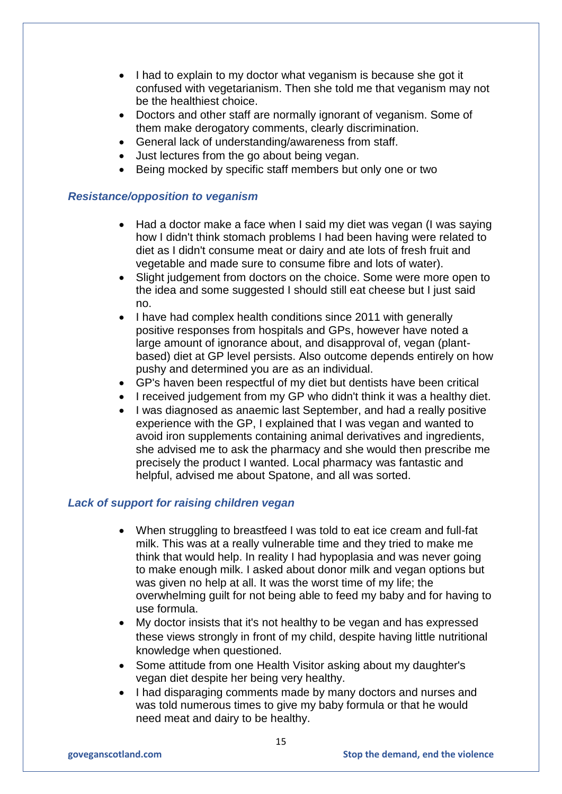- I had to explain to my doctor what veganism is because she got it confused with vegetarianism. Then she told me that veganism may not be the healthiest choice.
- Doctors and other staff are normally ignorant of veganism. Some of them make derogatory comments, clearly discrimination.
- General lack of understanding/awareness from staff.
- Just lectures from the go about being vegan.
- Being mocked by specific staff members but only one or two

### *Resistance/opposition to veganism*

- Had a doctor make a face when I said my diet was vegan (I was saying how I didn't think stomach problems I had been having were related to diet as I didn't consume meat or dairy and ate lots of fresh fruit and vegetable and made sure to consume fibre and lots of water).
- Slight judgement from doctors on the choice. Some were more open to the idea and some suggested I should still eat cheese but I just said no.
- I have had complex health conditions since 2011 with generally positive responses from hospitals and GPs, however have noted a large amount of ignorance about, and disapproval of, vegan (plantbased) diet at GP level persists. Also outcome depends entirely on how pushy and determined you are as an individual.
- GP's haven been respectful of my diet but dentists have been critical
- I received judgement from my GP who didn't think it was a healthy diet.
- I was diagnosed as anaemic last September, and had a really positive experience with the GP, I explained that I was vegan and wanted to avoid iron supplements containing animal derivatives and ingredients, she advised me to ask the pharmacy and she would then prescribe me precisely the product I wanted. Local pharmacy was fantastic and helpful, advised me about Spatone, and all was sorted.

### *Lack of support for raising children vegan*

- When struggling to breastfeed I was told to eat ice cream and full-fat milk. This was at a really vulnerable time and they tried to make me think that would help. In reality I had hypoplasia and was never going to make enough milk. I asked about donor milk and vegan options but was given no help at all. It was the worst time of my life; the overwhelming guilt for not being able to feed my baby and for having to use formula.
- My doctor insists that it's not healthy to be vegan and has expressed these views strongly in front of my child, despite having little nutritional knowledge when questioned.
- Some attitude from one Health Visitor asking about my daughter's vegan diet despite her being very healthy.
- I had disparaging comments made by many doctors and nurses and was told numerous times to give my baby formula or that he would need meat and dairy to be healthy.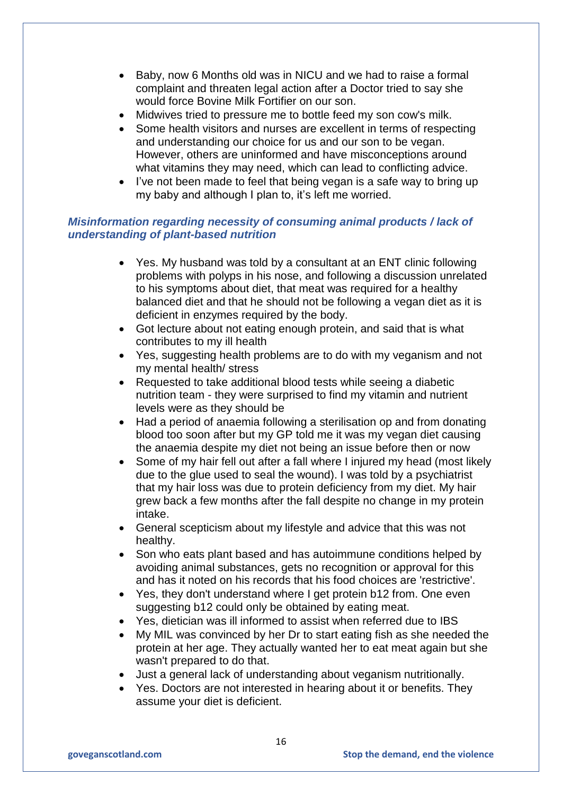- Baby, now 6 Months old was in NICU and we had to raise a formal complaint and threaten legal action after a Doctor tried to say she would force Bovine Milk Fortifier on our son.
- Midwives tried to pressure me to bottle feed my son cow's milk.
- Some health visitors and nurses are excellent in terms of respecting and understanding our choice for us and our son to be vegan. However, others are uninformed and have misconceptions around what vitamins they may need, which can lead to conflicting advice.
- I've not been made to feel that being vegan is a safe way to bring up my baby and although I plan to, it's left me worried.

# *Misinformation regarding necessity of consuming animal products / lack of understanding of plant-based nutrition*

- Yes. My husband was told by a consultant at an ENT clinic following problems with polyps in his nose, and following a discussion unrelated to his symptoms about diet, that meat was required for a healthy balanced diet and that he should not be following a vegan diet as it is deficient in enzymes required by the body.
- Got lecture about not eating enough protein, and said that is what contributes to my ill health
- Yes, suggesting health problems are to do with my veganism and not my mental health/ stress
- Requested to take additional blood tests while seeing a diabetic nutrition team - they were surprised to find my vitamin and nutrient levels were as they should be
- Had a period of anaemia following a sterilisation op and from donating blood too soon after but my GP told me it was my vegan diet causing the anaemia despite my diet not being an issue before then or now
- Some of my hair fell out after a fall where I injured my head (most likely due to the glue used to seal the wound). I was told by a psychiatrist that my hair loss was due to protein deficiency from my diet. My hair grew back a few months after the fall despite no change in my protein intake.
- General scepticism about my lifestyle and advice that this was not healthy.
- Son who eats plant based and has autoimmune conditions helped by avoiding animal substances, gets no recognition or approval for this and has it noted on his records that his food choices are 'restrictive'.
- Yes, they don't understand where I get protein b12 from. One even suggesting b12 could only be obtained by eating meat.
- Yes, dietician was ill informed to assist when referred due to IBS
- My MIL was convinced by her Dr to start eating fish as she needed the protein at her age. They actually wanted her to eat meat again but she wasn't prepared to do that.
- Just a general lack of understanding about veganism nutritionally.
- Yes. Doctors are not interested in hearing about it or benefits. They assume your diet is deficient.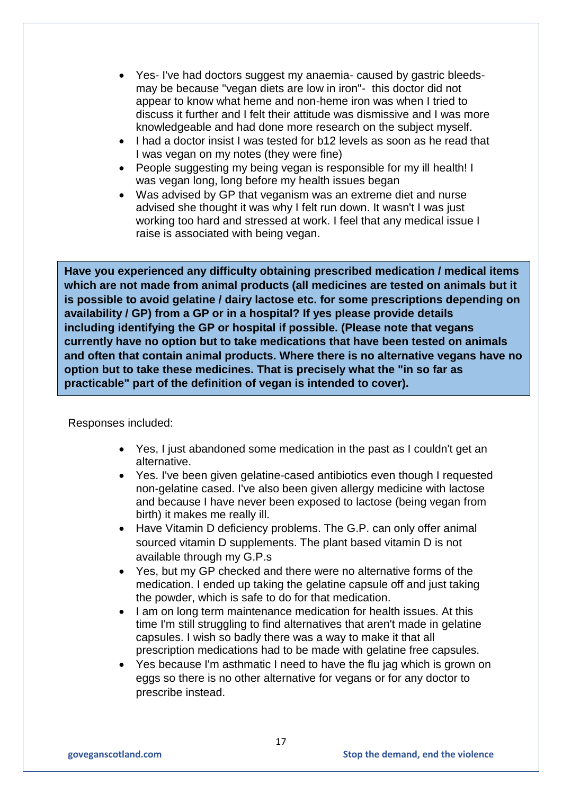- Yes- I've had doctors suggest my anaemia- caused by gastric bleedsmay be because "vegan diets are low in iron"- this doctor did not appear to know what heme and non-heme iron was when I tried to discuss it further and I felt their attitude was dismissive and I was more knowledgeable and had done more research on the subject myself.
- I had a doctor insist I was tested for b12 levels as soon as he read that I was vegan on my notes (they were fine)
- People suggesting my being vegan is responsible for my ill health! I was vegan long, long before my health issues began
- Was advised by GP that veganism was an extreme diet and nurse advised she thought it was why I felt run down. It wasn't I was just working too hard and stressed at work. I feel that any medical issue I raise is associated with being vegan.

**Have you experienced any difficulty obtaining prescribed medication / medical items which are not made from animal products (all medicines are tested on animals but it is possible to avoid gelatine / dairy lactose etc. for some prescriptions depending on availability / GP) from a GP or in a hospital? If yes please provide details including identifying the GP or hospital if possible. (Please note that vegans currently have no option but to take medications that have been tested on animals and often that contain animal products. Where there is no alternative vegans have no option but to take these medicines. That is precisely what the "in so far as practicable" part of the definition of vegan is intended to cover).**

Responses included:

- Yes, I just abandoned some medication in the past as I couldn't get an alternative.
- Yes. I've been given gelatine-cased antibiotics even though I requested non-gelatine cased. I've also been given allergy medicine with lactose and because I have never been exposed to lactose (being vegan from birth) it makes me really ill.
- Have Vitamin D deficiency problems. The G.P. can only offer animal sourced vitamin D supplements. The plant based vitamin D is not available through my G.P.s
- Yes, but my GP checked and there were no alternative forms of the medication. I ended up taking the gelatine capsule off and just taking the powder, which is safe to do for that medication.
- I am on long term maintenance medication for health issues. At this time I'm still struggling to find alternatives that aren't made in gelatine capsules. I wish so badly there was a way to make it that all prescription medications had to be made with gelatine free capsules.
- Yes because I'm asthmatic I need to have the flu jag which is grown on eggs so there is no other alternative for vegans or for any doctor to prescribe instead.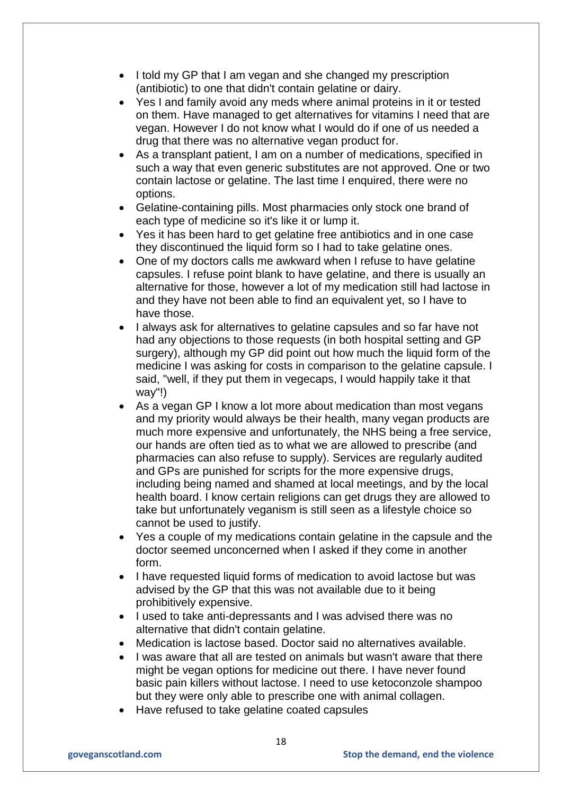- I told my GP that I am vegan and she changed my prescription (antibiotic) to one that didn't contain gelatine or dairy.
- Yes I and family avoid any meds where animal proteins in it or tested on them. Have managed to get alternatives for vitamins I need that are vegan. However I do not know what I would do if one of us needed a drug that there was no alternative vegan product for.
- As a transplant patient, I am on a number of medications, specified in such a way that even generic substitutes are not approved. One or two contain lactose or gelatine. The last time I enquired, there were no options.
- Gelatine-containing pills. Most pharmacies only stock one brand of each type of medicine so it's like it or lump it.
- Yes it has been hard to get gelatine free antibiotics and in one case they discontinued the liquid form so I had to take gelatine ones.
- One of my doctors calls me awkward when I refuse to have gelatine capsules. I refuse point blank to have gelatine, and there is usually an alternative for those, however a lot of my medication still had lactose in and they have not been able to find an equivalent yet, so I have to have those.
- I always ask for alternatives to gelatine capsules and so far have not had any objections to those requests (in both hospital setting and GP surgery), although my GP did point out how much the liquid form of the medicine I was asking for costs in comparison to the gelatine capsule. I said, "well, if they put them in vegecaps, I would happily take it that way"!)
- As a vegan GP I know a lot more about medication than most vegans and my priority would always be their health, many vegan products are much more expensive and unfortunately, the NHS being a free service, our hands are often tied as to what we are allowed to prescribe (and pharmacies can also refuse to supply). Services are regularly audited and GPs are punished for scripts for the more expensive drugs, including being named and shamed at local meetings, and by the local health board. I know certain religions can get drugs they are allowed to take but unfortunately veganism is still seen as a lifestyle choice so cannot be used to justify.
- Yes a couple of my medications contain gelatine in the capsule and the doctor seemed unconcerned when I asked if they come in another form.
- I have requested liquid forms of medication to avoid lactose but was advised by the GP that this was not available due to it being prohibitively expensive.
- I used to take anti-depressants and I was advised there was no alternative that didn't contain gelatine.
- Medication is lactose based. Doctor said no alternatives available.
- I was aware that all are tested on animals but wasn't aware that there might be vegan options for medicine out there. I have never found basic pain killers without lactose. I need to use ketoconzole shampoo but they were only able to prescribe one with animal collagen.
- Have refused to take gelatine coated capsules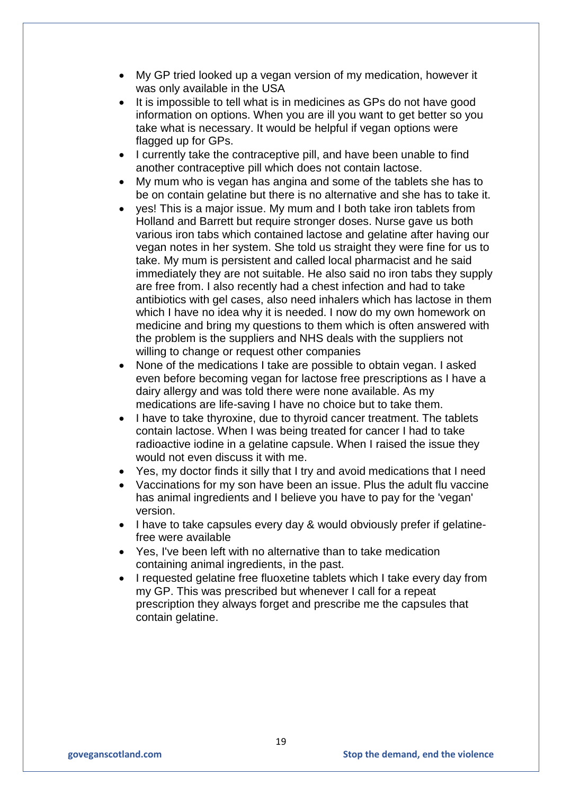- My GP tried looked up a vegan version of my medication, however it was only available in the USA
- It is impossible to tell what is in medicines as GPs do not have good information on options. When you are ill you want to get better so you take what is necessary. It would be helpful if vegan options were flagged up for GPs.
- I currently take the contraceptive pill, and have been unable to find another contraceptive pill which does not contain lactose.
- My mum who is vegan has angina and some of the tablets she has to be on contain gelatine but there is no alternative and she has to take it.
- ves! This is a major issue. My mum and I both take iron tablets from Holland and Barrett but require stronger doses. Nurse gave us both various iron tabs which contained lactose and gelatine after having our vegan notes in her system. She told us straight they were fine for us to take. My mum is persistent and called local pharmacist and he said immediately they are not suitable. He also said no iron tabs they supply are free from. I also recently had a chest infection and had to take antibiotics with gel cases, also need inhalers which has lactose in them which I have no idea why it is needed. I now do my own homework on medicine and bring my questions to them which is often answered with the problem is the suppliers and NHS deals with the suppliers not willing to change or request other companies
- None of the medications I take are possible to obtain vegan. I asked even before becoming vegan for lactose free prescriptions as I have a dairy allergy and was told there were none available. As my medications are life-saving I have no choice but to take them.
- I have to take thyroxine, due to thyroid cancer treatment. The tablets contain lactose. When I was being treated for cancer I had to take radioactive iodine in a gelatine capsule. When I raised the issue they would not even discuss it with me.
- Yes, my doctor finds it silly that I try and avoid medications that I need
- Vaccinations for my son have been an issue. Plus the adult flu vaccine has animal ingredients and I believe you have to pay for the 'vegan' version.
- I have to take capsules every day & would obviously prefer if gelatinefree were available
- Yes, I've been left with no alternative than to take medication containing animal ingredients, in the past.
- I requested gelatine free fluoxetine tablets which I take every day from my GP. This was prescribed but whenever I call for a repeat prescription they always forget and prescribe me the capsules that contain gelatine.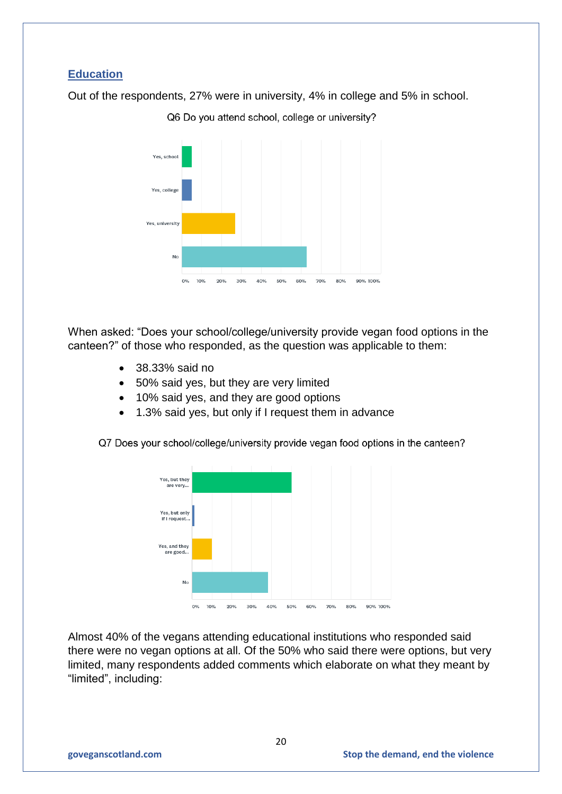# **Education**

Out of the respondents, 27% were in university, 4% in college and 5% in school.



Q6 Do you attend school, college or university?

When asked: "Does your school/college/university provide vegan food options in the canteen?" of those who responded, as the question was applicable to them:

- 38.33% said no
- 50% said yes, but they are very limited
- 10% said yes, and they are good options
- 1.3% said yes, but only if I request them in advance

Q7 Does your school/college/university provide vegan food options in the canteen?



Almost 40% of the vegans attending educational institutions who responded said there were no vegan options at all. Of the 50% who said there were options, but very limited, many respondents added comments which elaborate on what they meant by "limited", including: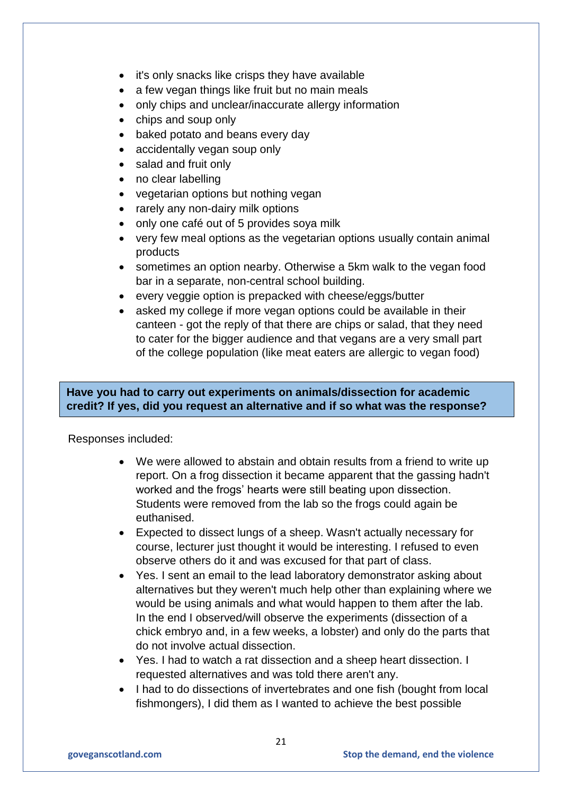- it's only snacks like crisps they have available
- a few vegan things like fruit but no main meals
- only chips and unclear/inaccurate allergy information
- chips and soup only
- baked potato and beans every day
- accidentally vegan soup only
- salad and fruit only
- no clear labelling
- vegetarian options but nothing vegan
- rarely any non-dairy milk options
- only one café out of 5 provides soya milk
- very few meal options as the vegetarian options usually contain animal products
- sometimes an option nearby. Otherwise a 5km walk to the vegan food bar in a separate, non-central school building.
- every veggie option is prepacked with cheese/eggs/butter
- asked my college if more vegan options could be available in their canteen - got the reply of that there are chips or salad, that they need to cater for the bigger audience and that vegans are a very small part of the college population (like meat eaters are allergic to vegan food)

# **Have you had to carry out experiments on animals/dissection for academic credit? If yes, did you request an alternative and if so what was the response?**

Responses included:

- We were allowed to abstain and obtain results from a friend to write up report. On a frog dissection it became apparent that the gassing hadn't worked and the frogs' hearts were still beating upon dissection. Students were removed from the lab so the frogs could again be euthanised.
- Expected to dissect lungs of a sheep. Wasn't actually necessary for course, lecturer just thought it would be interesting. I refused to even observe others do it and was excused for that part of class.
- Yes. I sent an email to the lead laboratory demonstrator asking about alternatives but they weren't much help other than explaining where we would be using animals and what would happen to them after the lab. In the end I observed/will observe the experiments (dissection of a chick embryo and, in a few weeks, a lobster) and only do the parts that do not involve actual dissection.
- Yes. I had to watch a rat dissection and a sheep heart dissection. I requested alternatives and was told there aren't any.
- I had to do dissections of invertebrates and one fish (bought from local fishmongers), I did them as I wanted to achieve the best possible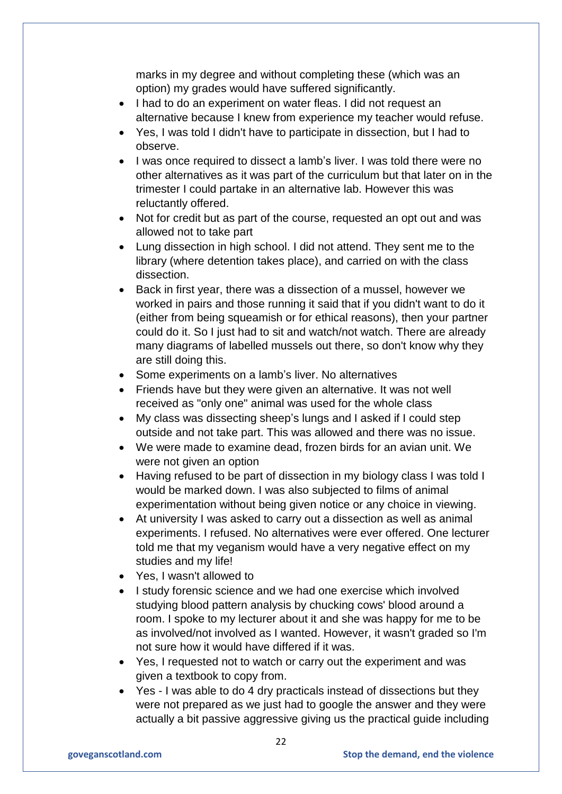marks in my degree and without completing these (which was an option) my grades would have suffered significantly.

- I had to do an experiment on water fleas. I did not request an alternative because I knew from experience my teacher would refuse.
- Yes, I was told I didn't have to participate in dissection, but I had to observe.
- I was once required to dissect a lamb's liver. I was told there were no other alternatives as it was part of the curriculum but that later on in the trimester I could partake in an alternative lab. However this was reluctantly offered.
- Not for credit but as part of the course, requested an opt out and was allowed not to take part
- Lung dissection in high school. I did not attend. They sent me to the library (where detention takes place), and carried on with the class dissection.
- Back in first year, there was a dissection of a mussel, however we worked in pairs and those running it said that if you didn't want to do it (either from being squeamish or for ethical reasons), then your partner could do it. So I just had to sit and watch/not watch. There are already many diagrams of labelled mussels out there, so don't know why they are still doing this.
- Some experiments on a lamb's liver. No alternatives
- Friends have but they were given an alternative. It was not well received as "only one" animal was used for the whole class
- My class was dissecting sheep's lungs and I asked if I could step outside and not take part. This was allowed and there was no issue.
- We were made to examine dead, frozen birds for an avian unit. We were not given an option
- Having refused to be part of dissection in my biology class I was told I would be marked down. I was also subjected to films of animal experimentation without being given notice or any choice in viewing.
- At university I was asked to carry out a dissection as well as animal experiments. I refused. No alternatives were ever offered. One lecturer told me that my veganism would have a very negative effect on my studies and my life!
- Yes, I wasn't allowed to
- I study forensic science and we had one exercise which involved studying blood pattern analysis by chucking cows' blood around a room. I spoke to my lecturer about it and she was happy for me to be as involved/not involved as I wanted. However, it wasn't graded so I'm not sure how it would have differed if it was.
- Yes, I requested not to watch or carry out the experiment and was given a textbook to copy from.
- Yes I was able to do 4 dry practicals instead of dissections but they were not prepared as we just had to google the answer and they were actually a bit passive aggressive giving us the practical guide including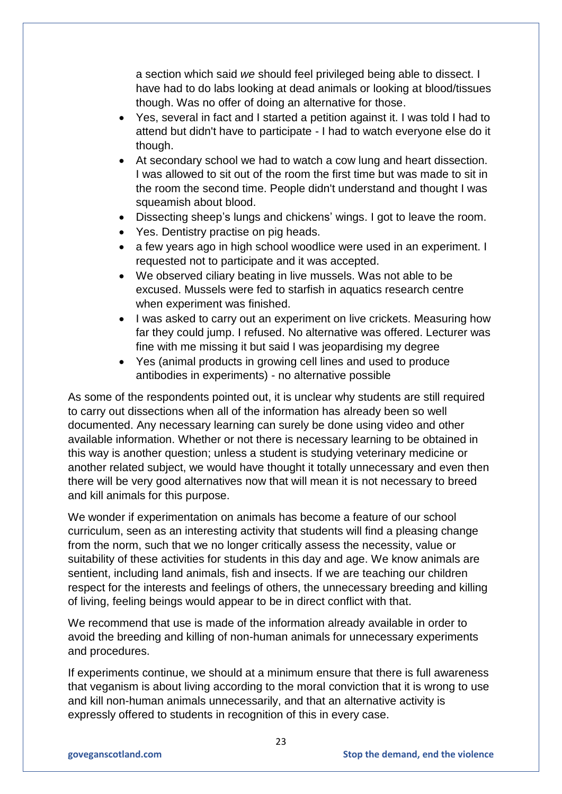a section which said *we* should feel privileged being able to dissect. I have had to do labs looking at dead animals or looking at blood/tissues though. Was no offer of doing an alternative for those.

- Yes, several in fact and I started a petition against it. I was told I had to attend but didn't have to participate - I had to watch everyone else do it though.
- At secondary school we had to watch a cow lung and heart dissection. I was allowed to sit out of the room the first time but was made to sit in the room the second time. People didn't understand and thought I was squeamish about blood.
- Dissecting sheep's lungs and chickens' wings. I got to leave the room.
- Yes. Dentistry practise on pig heads.
- a few years ago in high school woodlice were used in an experiment. I requested not to participate and it was accepted.
- We observed ciliary beating in live mussels. Was not able to be excused. Mussels were fed to starfish in aquatics research centre when experiment was finished.
- I was asked to carry out an experiment on live crickets. Measuring how far they could jump. I refused. No alternative was offered. Lecturer was fine with me missing it but said I was jeopardising my degree
- Yes (animal products in growing cell lines and used to produce antibodies in experiments) - no alternative possible

As some of the respondents pointed out, it is unclear why students are still required to carry out dissections when all of the information has already been so well documented. Any necessary learning can surely be done using video and other available information. Whether or not there is necessary learning to be obtained in this way is another question; unless a student is studying veterinary medicine or another related subject, we would have thought it totally unnecessary and even then there will be very good alternatives now that will mean it is not necessary to breed and kill animals for this purpose.

We wonder if experimentation on animals has become a feature of our school curriculum, seen as an interesting activity that students will find a pleasing change from the norm, such that we no longer critically assess the necessity, value or suitability of these activities for students in this day and age. We know animals are sentient, including land animals, fish and insects. If we are teaching our children respect for the interests and feelings of others, the unnecessary breeding and killing of living, feeling beings would appear to be in direct conflict with that.

We recommend that use is made of the information already available in order to avoid the breeding and killing of non-human animals for unnecessary experiments and procedures.

If experiments continue, we should at a minimum ensure that there is full awareness that veganism is about living according to the moral conviction that it is wrong to use and kill non-human animals unnecessarily, and that an alternative activity is expressly offered to students in recognition of this in every case.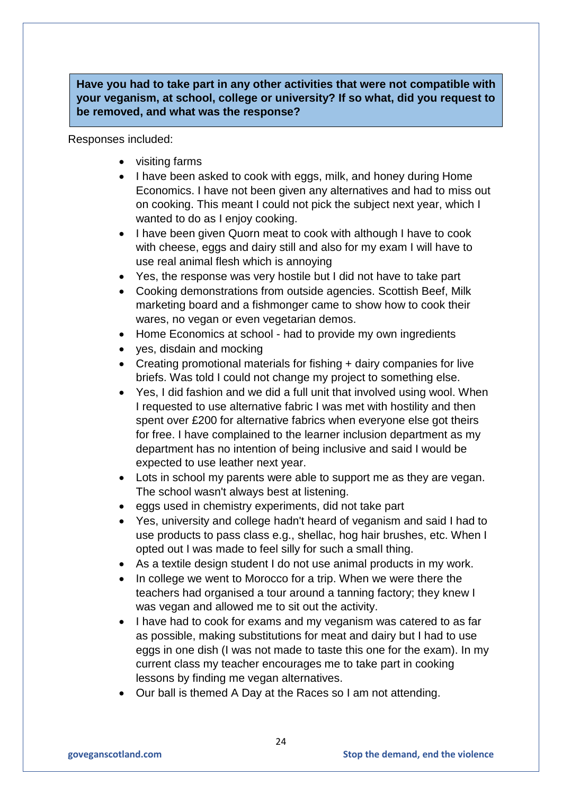**Have you had to take part in any other activities that were not compatible with your veganism, at school, college or university? If so what, did you request to be removed, and what was the response?**

Responses included:

- visiting farms
- I have been asked to cook with eggs, milk, and honey during Home Economics. I have not been given any alternatives and had to miss out on cooking. This meant I could not pick the subject next year, which I wanted to do as I enjoy cooking.
- I have been given Quorn meat to cook with although I have to cook with cheese, eggs and dairy still and also for my exam I will have to use real animal flesh which is annoying
- Yes, the response was very hostile but I did not have to take part
- Cooking demonstrations from outside agencies. Scottish Beef, Milk marketing board and a fishmonger came to show how to cook their wares, no vegan or even vegetarian demos.
- Home Economics at school had to provide my own ingredients
- yes, disdain and mocking
- Creating promotional materials for fishing + dairy companies for live briefs. Was told I could not change my project to something else.
- Yes, I did fashion and we did a full unit that involved using wool. When I requested to use alternative fabric I was met with hostility and then spent over £200 for alternative fabrics when everyone else got theirs for free. I have complained to the learner inclusion department as my department has no intention of being inclusive and said I would be expected to use leather next year.
- Lots in school my parents were able to support me as they are vegan. The school wasn't always best at listening.
- eggs used in chemistry experiments, did not take part
- Yes, university and college hadn't heard of veganism and said I had to use products to pass class e.g., shellac, hog hair brushes, etc. When I opted out I was made to feel silly for such a small thing.
- As a textile design student I do not use animal products in my work.
- In college we went to Morocco for a trip. When we were there the teachers had organised a tour around a tanning factory; they knew I was vegan and allowed me to sit out the activity.
- I have had to cook for exams and my veganism was catered to as far as possible, making substitutions for meat and dairy but I had to use eggs in one dish (I was not made to taste this one for the exam). In my current class my teacher encourages me to take part in cooking lessons by finding me vegan alternatives.
- Our ball is themed A Day at the Races so I am not attending.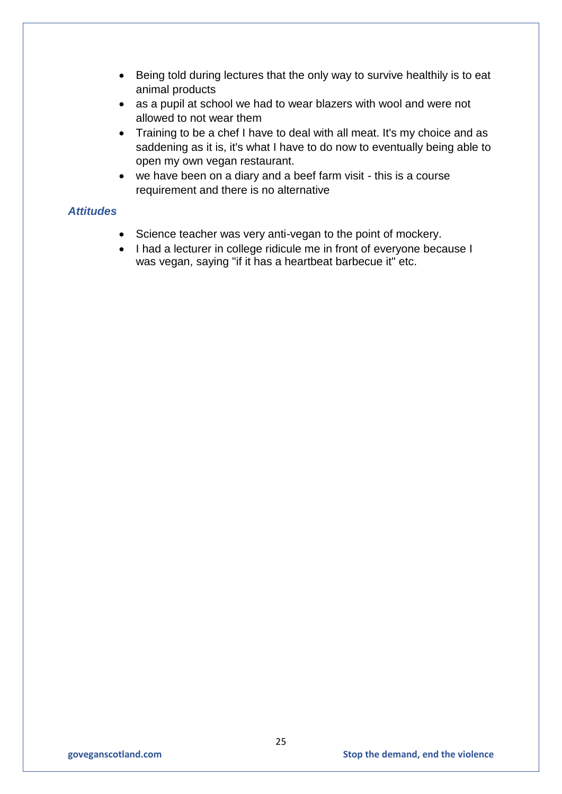- Being told during lectures that the only way to survive healthily is to eat animal products
- as a pupil at school we had to wear blazers with wool and were not allowed to not wear them
- Training to be a chef I have to deal with all meat. It's my choice and as saddening as it is, it's what I have to do now to eventually being able to open my own vegan restaurant.
- we have been on a diary and a beef farm visit this is a course requirement and there is no alternative

### *Attitudes*

- Science teacher was very anti-vegan to the point of mockery.
- I had a lecturer in college ridicule me in front of everyone because I was vegan, saying "if it has a heartbeat barbecue it" etc.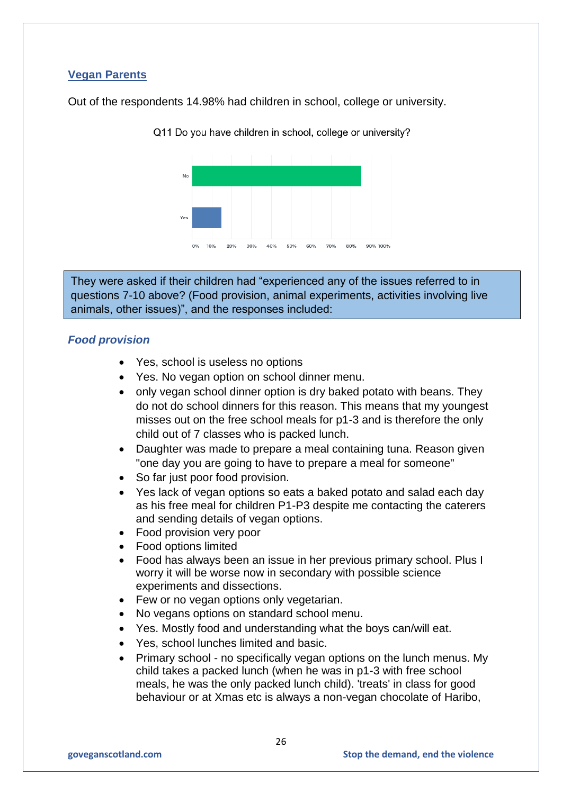# **Vegan Parents**

Out of the respondents 14.98% had children in school, college or university.

 $\overline{\mathsf{N}}$ Yes  $0\% - 10\%$ 20% 40% 50% 60% 80% 90% 100%

Q11 Do you have children in school, college or university?

They were asked if their children had "experienced any of the issues referred to in questions 7-10 above? (Food provision, animal experiments, activities involving live animals, other issues)", and the responses included:

## *Food provision*

- Yes, school is useless no options
- Yes. No vegan option on school dinner menu.
- only vegan school dinner option is dry baked potato with beans. They do not do school dinners for this reason. This means that my youngest misses out on the free school meals for p1-3 and is therefore the only child out of 7 classes who is packed lunch.
- Daughter was made to prepare a meal containing tuna. Reason given "one day you are going to have to prepare a meal for someone"
- So far just poor food provision.
- Yes lack of vegan options so eats a baked potato and salad each day as his free meal for children P1-P3 despite me contacting the caterers and sending details of vegan options.
- Food provision very poor
- Food options limited
- Food has always been an issue in her previous primary school. Plus I worry it will be worse now in secondary with possible science experiments and dissections.
- Few or no vegan options only vegetarian.
- No vegans options on standard school menu.
- Yes. Mostly food and understanding what the boys can/will eat.
- Yes, school lunches limited and basic.
- Primary school no specifically vegan options on the lunch menus. My child takes a packed lunch (when he was in p1-3 with free school meals, he was the only packed lunch child). 'treats' in class for good behaviour or at Xmas etc is always a non-vegan chocolate of Haribo,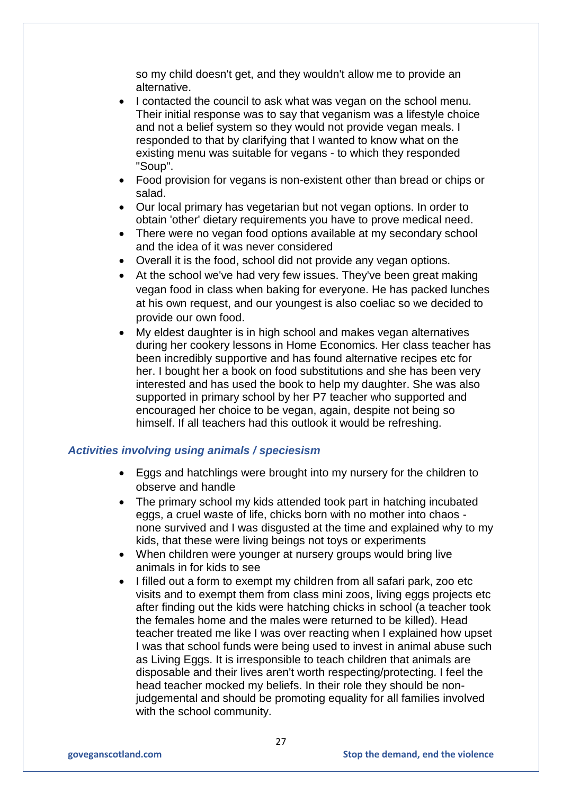so my child doesn't get, and they wouldn't allow me to provide an alternative.

- I contacted the council to ask what was vegan on the school menu. Their initial response was to say that veganism was a lifestyle choice and not a belief system so they would not provide vegan meals. I responded to that by clarifying that I wanted to know what on the existing menu was suitable for vegans - to which they responded "Soup".
- Food provision for vegans is non-existent other than bread or chips or salad.
- Our local primary has vegetarian but not vegan options. In order to obtain 'other' dietary requirements you have to prove medical need.
- There were no vegan food options available at my secondary school and the idea of it was never considered
- Overall it is the food, school did not provide any vegan options.
- At the school we've had very few issues. They've been great making vegan food in class when baking for everyone. He has packed lunches at his own request, and our youngest is also coeliac so we decided to provide our own food.
- My eldest daughter is in high school and makes vegan alternatives during her cookery lessons in Home Economics. Her class teacher has been incredibly supportive and has found alternative recipes etc for her. I bought her a book on food substitutions and she has been very interested and has used the book to help my daughter. She was also supported in primary school by her P7 teacher who supported and encouraged her choice to be vegan, again, despite not being so himself. If all teachers had this outlook it would be refreshing.

### *Activities involving using animals / speciesism*

- Eggs and hatchlings were brought into my nursery for the children to observe and handle
- The primary school my kids attended took part in hatching incubated eggs, a cruel waste of life, chicks born with no mother into chaos none survived and I was disgusted at the time and explained why to my kids, that these were living beings not toys or experiments
- When children were younger at nursery groups would bring live animals in for kids to see
- I filled out a form to exempt my children from all safari park, zoo etc visits and to exempt them from class mini zoos, living eggs projects etc after finding out the kids were hatching chicks in school (a teacher took the females home and the males were returned to be killed). Head teacher treated me like I was over reacting when I explained how upset I was that school funds were being used to invest in animal abuse such as Living Eggs. It is irresponsible to teach children that animals are disposable and their lives aren't worth respecting/protecting. I feel the head teacher mocked my beliefs. In their role they should be nonjudgemental and should be promoting equality for all families involved with the school community.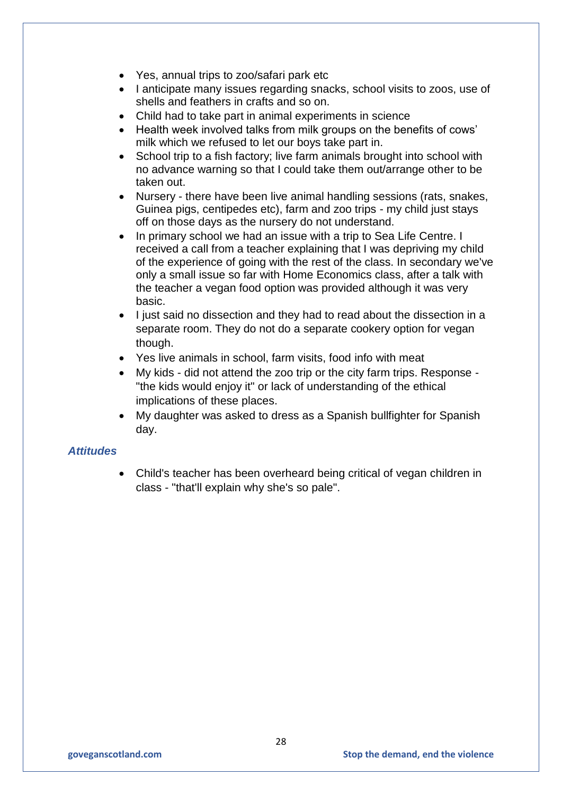- Yes, annual trips to zoo/safari park etc
- I anticipate many issues regarding snacks, school visits to zoos, use of shells and feathers in crafts and so on.
- Child had to take part in animal experiments in science
- Health week involved talks from milk groups on the benefits of cows' milk which we refused to let our boys take part in.
- School trip to a fish factory; live farm animals brought into school with no advance warning so that I could take them out/arrange other to be taken out.
- Nursery there have been live animal handling sessions (rats, snakes, Guinea pigs, centipedes etc), farm and zoo trips - my child just stays off on those days as the nursery do not understand.
- In primary school we had an issue with a trip to Sea Life Centre. I received a call from a teacher explaining that I was depriving my child of the experience of going with the rest of the class. In secondary we've only a small issue so far with Home Economics class, after a talk with the teacher a vegan food option was provided although it was very basic.
- I just said no dissection and they had to read about the dissection in a separate room. They do not do a separate cookery option for vegan though.
- Yes live animals in school, farm visits, food info with meat
- My kids did not attend the zoo trip or the city farm trips. Response "the kids would enjoy it" or lack of understanding of the ethical implications of these places.
- My daughter was asked to dress as a Spanish bullfighter for Spanish day.

## *Attitudes*

 Child's teacher has been overheard being critical of vegan children in class - "that'll explain why she's so pale".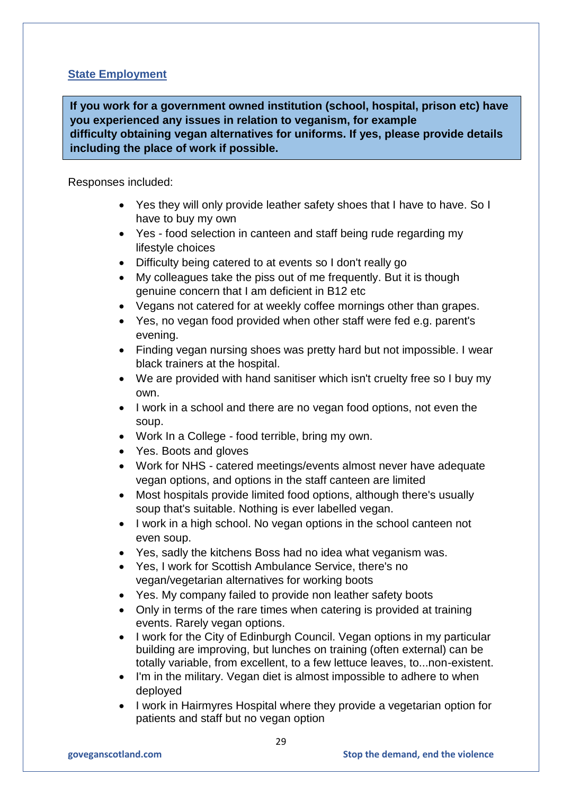# **State Employment**

**If you work for a government owned institution (school, hospital, prison etc) have you experienced any issues in relation to veganism, for example difficulty obtaining vegan alternatives for uniforms. If yes, please provide details including the place of work if possible.**

### Responses included:

- Yes they will only provide leather safety shoes that I have to have. So I have to buy my own
- Yes food selection in canteen and staff being rude regarding my lifestyle choices
- Difficulty being catered to at events so I don't really go
- My colleagues take the piss out of me frequently. But it is though genuine concern that I am deficient in B12 etc
- Vegans not catered for at weekly coffee mornings other than grapes.
- Yes, no vegan food provided when other staff were fed e.g. parent's evening.
- Finding vegan nursing shoes was pretty hard but not impossible. I wear black trainers at the hospital.
- We are provided with hand sanitiser which isn't cruelty free so I buy my own.
- I work in a school and there are no vegan food options, not even the soup.
- Work In a College food terrible, bring my own.
- Yes. Boots and gloves
- Work for NHS catered meetings/events almost never have adequate vegan options, and options in the staff canteen are limited
- Most hospitals provide limited food options, although there's usually soup that's suitable. Nothing is ever labelled vegan.
- I work in a high school. No vegan options in the school canteen not even soup.
- Yes, sadly the kitchens Boss had no idea what veganism was.
- Yes, I work for Scottish Ambulance Service, there's no vegan/vegetarian alternatives for working boots
- Yes. My company failed to provide non leather safety boots
- Only in terms of the rare times when catering is provided at training events. Rarely vegan options.
- I work for the City of Edinburgh Council. Vegan options in my particular building are improving, but lunches on training (often external) can be totally variable, from excellent, to a few lettuce leaves, to...non-existent.
- I'm in the military. Vegan diet is almost impossible to adhere to when deployed
- I work in Hairmyres Hospital where they provide a vegetarian option for patients and staff but no vegan option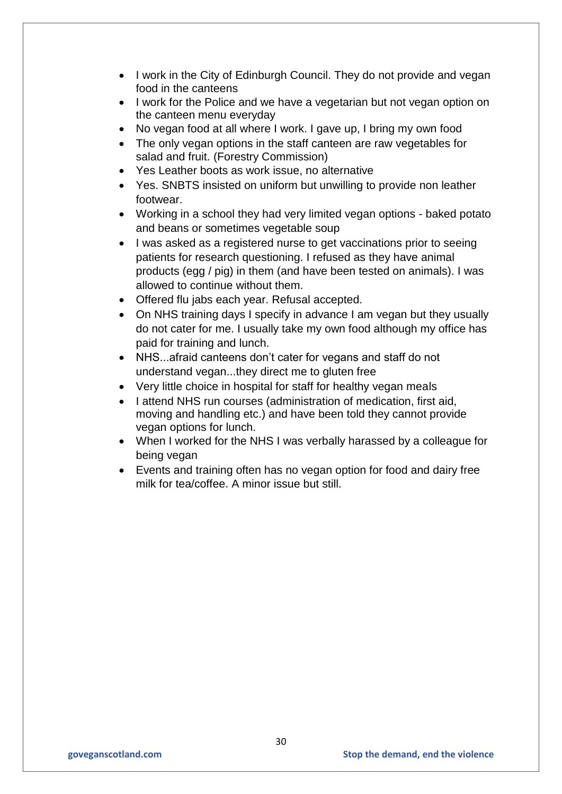- I work in the City of Edinburgh Council. They do not provide and vegan food in the canteens
- I work for the Police and we have a vegetarian but not vegan option on the canteen menu everyday
- No vegan food at all where I work. I gave up, I bring my own food
- The only vegan options in the staff canteen are raw vegetables for salad and fruit. (Forestry Commission)
- Yes Leather boots as work issue, no alternative
- Yes. SNBTS insisted on uniform but unwilling to provide non leather footwear.
- Working in a school they had very limited vegan options baked potato and beans or sometimes vegetable soup
- I was asked as a registered nurse to get vaccinations prior to seeing patients for research questioning. I refused as they have animal products (egg / pig) in them (and have been tested on animals). I was allowed to continue without them.
- Offered flu jabs each year. Refusal accepted.
- On NHS training days I specify in advance I am vegan but they usually do not cater for me. I usually take my own food although my office has paid for training and lunch.
- NHS...afraid canteens don't cater for vegans and staff do not understand vegan...they direct me to gluten free
- Very little choice in hospital for staff for healthy vegan meals
- I attend NHS run courses (administration of medication, first aid, moving and handling etc.) and have been told they cannot provide vegan options for lunch.
- When I worked for the NHS I was verbally harassed by a colleague for being vegan
- Events and training often has no vegan option for food and dairy free milk for tea/coffee. A minor issue but still.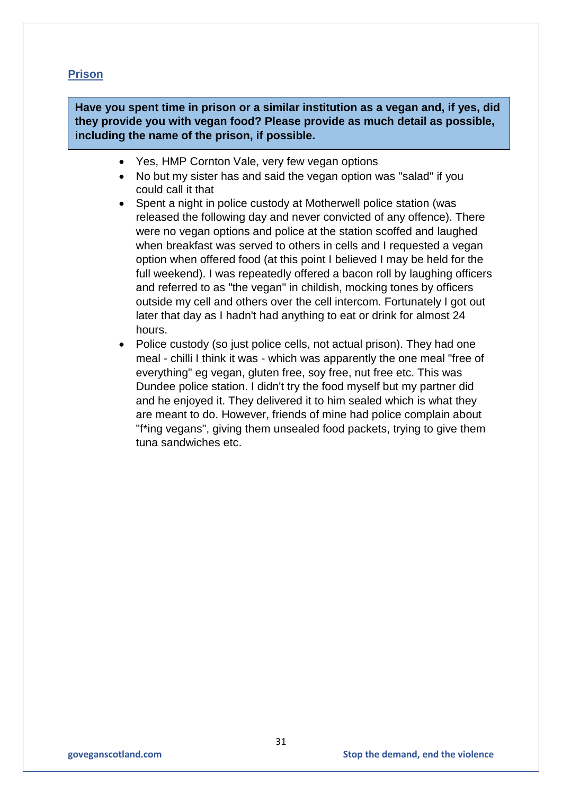# **Prison**

**Have you spent time in prison or a similar institution as a vegan and, if yes, did they provide you with vegan food? Please provide as much detail as possible, including the name of the prison, if possible.**

- Yes, HMP Cornton Vale, very few vegan options
- No but my sister has and said the vegan option was "salad" if you could call it that
- Spent a night in police custody at Motherwell police station (was released the following day and never convicted of any offence). There were no vegan options and police at the station scoffed and laughed when breakfast was served to others in cells and I requested a vegan option when offered food (at this point I believed I may be held for the full weekend). I was repeatedly offered a bacon roll by laughing officers and referred to as "the vegan" in childish, mocking tones by officers outside my cell and others over the cell intercom. Fortunately I got out later that day as I hadn't had anything to eat or drink for almost 24 hours.
- Police custody (so just police cells, not actual prison). They had one meal - chilli I think it was - which was apparently the one meal "free of everything" eg vegan, gluten free, soy free, nut free etc. This was Dundee police station. I didn't try the food myself but my partner did and he enjoyed it. They delivered it to him sealed which is what they are meant to do. However, friends of mine had police complain about "f\*ing vegans", giving them unsealed food packets, trying to give them tuna sandwiches etc.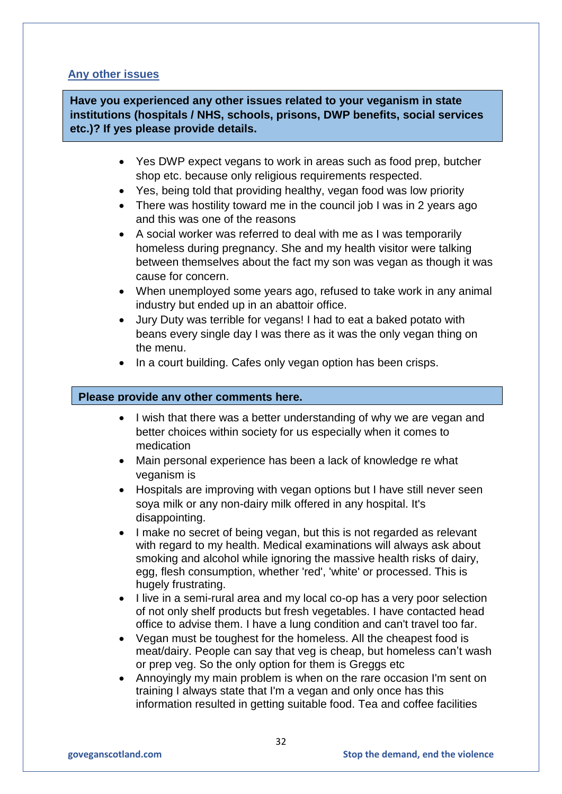## **Any other issues**

**Have you experienced any other issues related to your veganism in state institutions (hospitals / NHS, schools, prisons, DWP benefits, social services etc.)? If yes please provide details.**

- Yes DWP expect vegans to work in areas such as food prep, butcher shop etc. because only religious requirements respected.
- Yes, being told that providing healthy, vegan food was low priority
- There was hostility toward me in the council job I was in 2 years ago and this was one of the reasons
- A social worker was referred to deal with me as I was temporarily homeless during pregnancy. She and my health visitor were talking between themselves about the fact my son was vegan as though it was cause for concern.
- When unemployed some years ago, refused to take work in any animal industry but ended up in an abattoir office.
- Jury Duty was terrible for vegans! I had to eat a baked potato with beans every single day I was there as it was the only vegan thing on the menu.
- In a court building. Cafes only vegan option has been crisps.

### **Please provide any other comments here.**

- I wish that there was a better understanding of why we are vegan and better choices within society for us especially when it comes to medication
- Main personal experience has been a lack of knowledge re what veganism is
- Hospitals are improving with vegan options but I have still never seen soya milk or any non-dairy milk offered in any hospital. It's disappointing.
- I make no secret of being vegan, but this is not regarded as relevant with regard to my health. Medical examinations will always ask about smoking and alcohol while ignoring the massive health risks of dairy, egg, flesh consumption, whether 'red', 'white' or processed. This is hugely frustrating.
- I live in a semi-rural area and my local co-op has a very poor selection of not only shelf products but fresh vegetables. I have contacted head office to advise them. I have a lung condition and can't travel too far.
- Vegan must be toughest for the homeless. All the cheapest food is meat/dairy. People can say that veg is cheap, but homeless can't wash or prep veg. So the only option for them is Greggs etc
- Annoyingly my main problem is when on the rare occasion I'm sent on training I always state that I'm a vegan and only once has this information resulted in getting suitable food. Tea and coffee facilities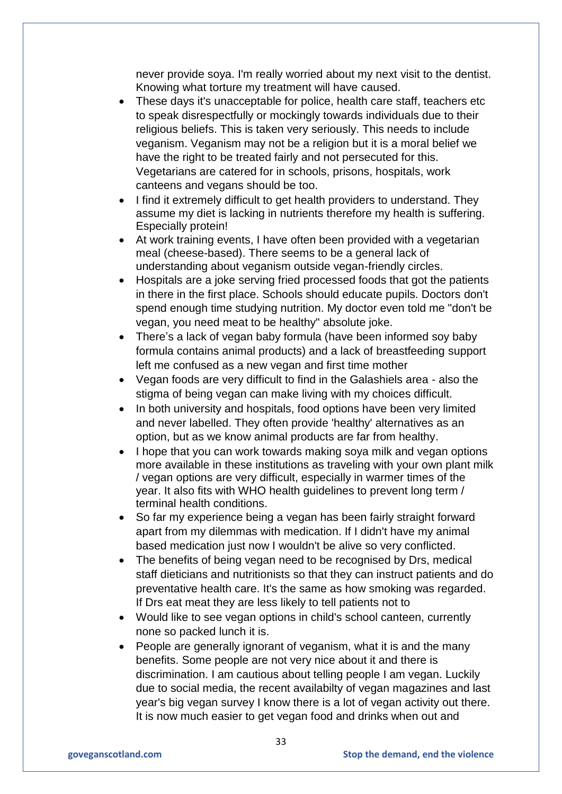never provide soya. I'm really worried about my next visit to the dentist. Knowing what torture my treatment will have caused.

- These days it's unacceptable for police, health care staff, teachers etc to speak disrespectfully or mockingly towards individuals due to their religious beliefs. This is taken very seriously. This needs to include veganism. Veganism may not be a religion but it is a moral belief we have the right to be treated fairly and not persecuted for this. Vegetarians are catered for in schools, prisons, hospitals, work canteens and vegans should be too.
- I find it extremely difficult to get health providers to understand. They assume my diet is lacking in nutrients therefore my health is suffering. Especially protein!
- At work training events, I have often been provided with a vegetarian meal (cheese-based). There seems to be a general lack of understanding about veganism outside vegan-friendly circles.
- Hospitals are a joke serving fried processed foods that got the patients in there in the first place. Schools should educate pupils. Doctors don't spend enough time studying nutrition. My doctor even told me "don't be vegan, you need meat to be healthy" absolute joke.
- There's a lack of vegan baby formula (have been informed soy baby formula contains animal products) and a lack of breastfeeding support left me confused as a new vegan and first time mother
- Vegan foods are very difficult to find in the Galashiels area also the stigma of being vegan can make living with my choices difficult.
- In both university and hospitals, food options have been very limited and never labelled. They often provide 'healthy' alternatives as an option, but as we know animal products are far from healthy.
- I hope that you can work towards making soya milk and vegan options more available in these institutions as traveling with your own plant milk / vegan options are very difficult, especially in warmer times of the year. It also fits with WHO health guidelines to prevent long term / terminal health conditions.
- So far my experience being a vegan has been fairly straight forward apart from my dilemmas with medication. If I didn't have my animal based medication just now I wouldn't be alive so very conflicted.
- The benefits of being vegan need to be recognised by Drs, medical staff dieticians and nutritionists so that they can instruct patients and do preventative health care. It's the same as how smoking was regarded. If Drs eat meat they are less likely to tell patients not to
- Would like to see vegan options in child's school canteen, currently none so packed lunch it is.
- People are generally ignorant of veganism, what it is and the many benefits. Some people are not very nice about it and there is discrimination. I am cautious about telling people I am vegan. Luckily due to social media, the recent availabilty of vegan magazines and last year's big vegan survey I know there is a lot of vegan activity out there. It is now much easier to get vegan food and drinks when out and